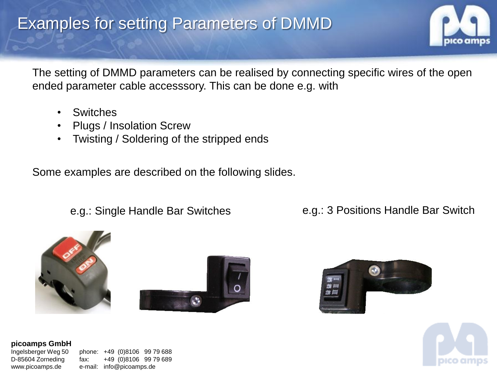## Examples for setting Parameters of DMMD



The setting of DMMD parameters can be realised by connecting specific wires of the open ended parameter cable accesssory. This can be done e.g. with

- **Switches**
- Plugs / Insolation Screw
- Twisting / Soldering of the stripped ends

Some examples are described on the following slides.

e.g.: Single Handle Bar Switches e.g.: 3 Positions Handle Bar Switch









### **picoamps GmbH**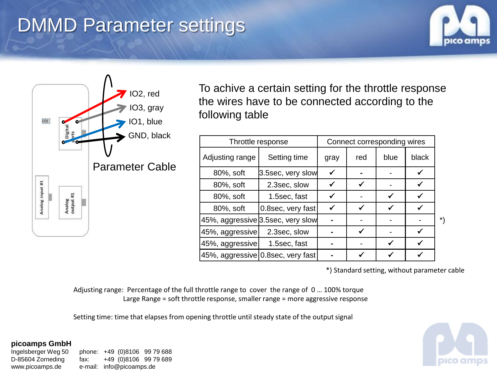# DMMD Parameter settings





To achive a certain setting for the throttle response the wires have to be connected according to the following table

| Throttle response |                                   | Connect corresponding wires |     |      |       |    |
|-------------------|-----------------------------------|-----------------------------|-----|------|-------|----|
| Adjusting range   | Setting time                      | gray                        | red | blue | black |    |
| 80%, soft         | 3.5sec, very slow                 | ✓                           |     |      |       |    |
| 80%, soft         | 2.3sec, slow                      |                             |     |      |       |    |
| 80%, soft         | 1.5sec, fast                      |                             |     |      |       |    |
| 80%, soft         | 0.8sec, very fast                 |                             |     |      |       |    |
|                   | 45%, aggressive 3.5sec, very slow |                             |     |      |       | *) |
| 45%, aggressive   | 2.3sec, slow                      |                             |     |      |       |    |
| 45%, aggressive   | 1.5sec, fast                      |                             |     |      |       |    |
|                   | 45%, aggressive 0.8sec, very fast |                             |     |      |       |    |

\*) Standard setting, without parameter cable

Adjusting range: Percentage of the full throttle range to cover the range of 0 … 100% torque Large Range = soft throttle response, smaller range = more aggressive response

Setting time: time that elapses from opening throttle until steady state of the output signal

#### **picoamps GmbH**

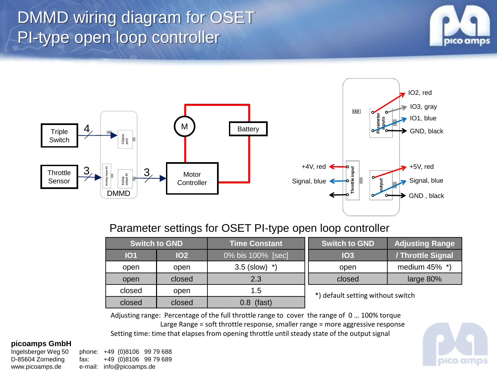# DMMD wiring diagram for OSET PI-type open loop controller







## Parameter settings for OSET PI-type open loop controller

| <b>Switch to GND</b> |            | <b>Time Constant</b>    | <b>Adjusting Range</b><br><b>Switch to GND</b> |                   |
|----------------------|------------|-------------------------|------------------------------------------------|-------------------|
| <b>101</b>           | <b>102</b> | 0% bis 100% [sec]       | IO3                                            | / Throttle Signal |
| open                 | open       | $3.5$ (slow)<br>$\star$ | open                                           | medium 45% *)     |
| open                 | closed     | 2.3                     | closed                                         | large 80%         |
| closed               | open       | 1.5                     | *) default setting without switch              |                   |
| closed               | closed     | (fast)<br>3.8           |                                                |                   |

Adjusting range: Percentage of the full throttle range to cover the range of 0 … 100% torque Large Range = soft throttle response, smaller range = more aggressive response Setting time: time that elapses from opening throttle until steady state of the output signal

#### **picoamps GmbH**

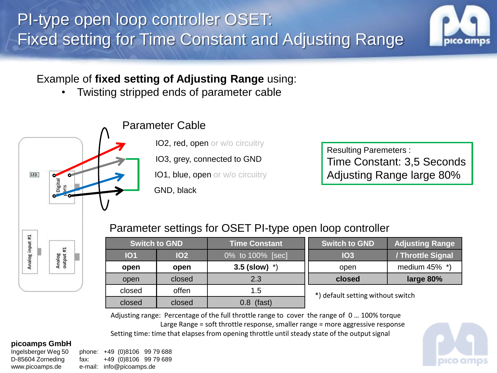

Example of **fixed setting of Adjusting Range** using:

• Twisting stripped ends of parameter cable



**IO2, red, open or w/o circuitry** 

IO3, grey, connected to GND

**IO1, blue, open or w/o circuitry** 

Resulting Paremeters : Time Constant: 3,5 Seconds Adjusting Range large 80%

## Parameter settings for OSET PI-type open loop controller

| <b>Switch to GND</b> |            | <b>Time Constant</b> | Switch to GND                     | <b>Adjusting Range</b> |
|----------------------|------------|----------------------|-----------------------------------|------------------------|
| <b>101</b>           | <b>102</b> | 0% to 100% [sec]     | <b>IO3</b>                        | / Throttle Signal      |
| open                 | open       | 3.5 (slow) $*$ )     | open                              | medium 45% *)          |
| open                 | closed     | 2.3                  | closed                            | large 80%              |
| closed               | offen      | 1.5                  | *) default setting without switch |                        |
| closed               | closed     | (fast)<br>0.8        |                                   |                        |

Adjusting range: Percentage of the full throttle range to cover the range of 0 … 100% torque Large Range = soft throttle response, smaller range = more aggressive response Setting time: time that elapses from opening throttle until steady state of the output signal

### **picoamps GmbH**

Analog input #1

Analog<br>output #1

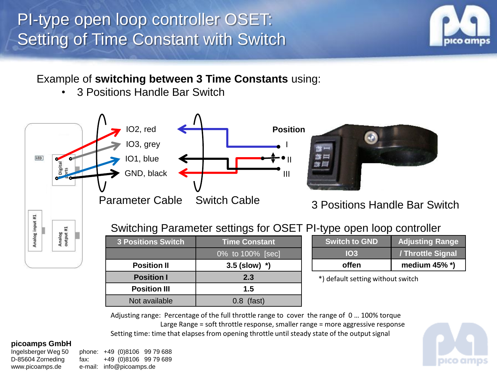# PI-type open loop controller OSET: Setting of Time Constant with Switch



## Example of **switching between 3 Time Constants** using:

• 3 Positions Handle Bar Switch



## Switching Parameter settings for OSET PI-type open loop controller

| <b>3 Positions Switch</b> | <b>Time Constant</b> |  |
|---------------------------|----------------------|--|
|                           | 0% to 100% [sec]     |  |
| <b>Position II</b>        | $3.5$ (slow) $*$ )   |  |
| <b>Position I</b>         | 2.3                  |  |
| <b>Position III</b>       | 1.5                  |  |
| Not available             | $0.8$ (fast)         |  |

| offen                | medium $45\%$ *)       |
|----------------------|------------------------|
| <b>103</b>           | /Throttle Signal       |
| <b>Switch to GND</b> | <b>Adjusting Range</b> |
|                      |                        |

\*) default setting without switch

Adjusting range: Percentage of the full throttle range to cover the range of 0 … 100% torque Large Range = soft throttle response, smaller range = more aggressive response Setting time: time that elapses from opening throttle until steady state of the output signal

### **picoamps GmbH**

Analog<br>output #1

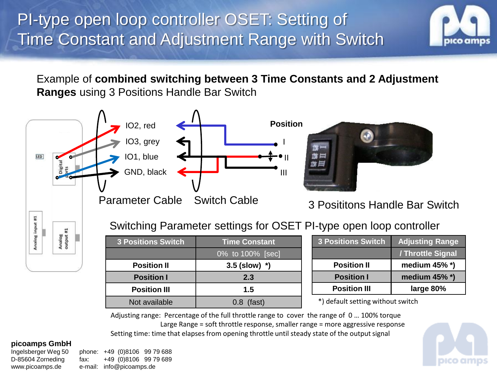

Example of **combined switching between 3 Time Constants and 2 Adjustment Ranges** using 3 Positions Handle Bar Switch



## Switching Parameter settings for OSET PI-type open loop controller

| <b>3 Positions Switch</b> | <b>Time Constant</b> |  |
|---------------------------|----------------------|--|
|                           | 0% to 100% [sec]     |  |
| <b>Position II</b>        | $3.5$ (slow) $*$ )   |  |
| <b>Position I</b>         | 2.3                  |  |
| <b>Position III</b>       | 1.5                  |  |
| Not available             | $0.8$ (fast)         |  |

| <b>3 Positions Switch</b> | <b>Adjusting Range</b> |  |
|---------------------------|------------------------|--|
|                           | / Throttle Signal      |  |
| <b>Position II</b>        | medium $45\%$ *)       |  |
| <b>Position I</b>         | medium $45\%$ *)       |  |
| <b>Position III</b>       | large 80%              |  |

\*) default setting without switch

Adjusting range: Percentage of the full throttle range to cover the range of 0 … 100% torque Large Range = soft throttle response, smaller range = more aggressive response Setting time: time that elapses from opening throttle until steady state of the output signal

### **picoamps GmbH**

Analog input #1

Analog<br>output #1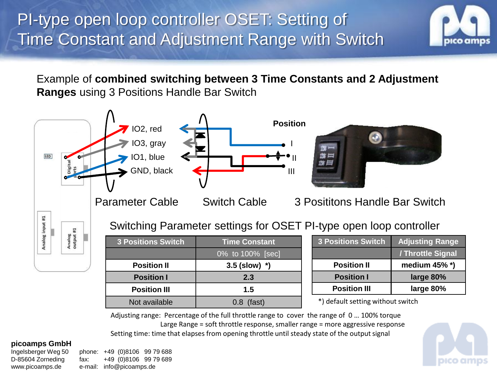

Example of **combined switching between 3 Time Constants and 2 Adjustment Ranges** using 3 Positions Handle Bar Switch



| <b>3 Positions Switch</b> | <b>Time Constant</b> |  |
|---------------------------|----------------------|--|
|                           | 0% to 100% [sec]     |  |
| <b>Position II</b>        | $3.5$ (slow) $*$ )   |  |
| <b>Position I</b>         | 2.3                  |  |
| <b>Position III</b>       | 1.5                  |  |
| Not available             | $0.8$ (fast)         |  |
|                           |                      |  |

| <b>3 Positions Switch</b> | <b>Adjusting Range</b> |  |
|---------------------------|------------------------|--|
|                           | / Throttle Signal      |  |
| <b>Position II</b>        | medium $45\%$ *)       |  |
| <b>Position I</b>         | large 80%              |  |
| <b>Position III</b>       | large 80%              |  |

\*) default setting without switch

Adjusting range: Percentage of the full throttle range to cover the range of 0 … 100% torque Large Range = soft throttle response, smaller range = more aggressive response Setting time: time that elapses from opening throttle until steady state of the output signal

### **picoamps GmbH**